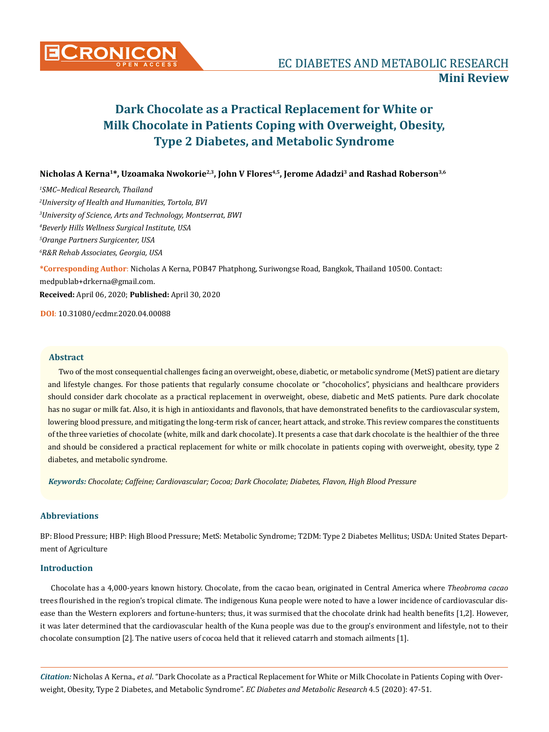

# **Dark Chocolate as a Practical Replacement for White or Milk Chocolate in Patients Coping with Overweight, Obesity, Type 2 Diabetes, and Metabolic Syndrome**

**Nicholas A Kerna1\*, Uzoamaka Nwokorie2,3, John V Flores4,5, Jerome Adadzi3 and Rashad Roberson3,6**

 *SMC–Medical Research, Thailand University of Health and Humanities, Tortola, BVI University of Science, Arts and Technology, Montserrat, BWI Beverly Hills Wellness Surgical Institute, USA Orange Partners Surgicenter, USA R&R Rehab Associates, Georgia, USA* **\*Corresponding Author**: Nicholas A Kerna, POB47 Phatphong, Suriwongse Road, Bangkok, Thailand 10500. Contact: medpublab+drkerna@gmail.com. **Received:** April 06, 2020; **Published:** April 30, 2020

**DOI**: 10.31080/ecdmr.2020.04.00088

# **Abstract**

Two of the most consequential challenges facing an overweight, obese, diabetic, or metabolic syndrome (MetS) patient are dietary and lifestyle changes. For those patients that regularly consume chocolate or "chocoholics", physicians and healthcare providers should consider dark chocolate as a practical replacement in overweight, obese, diabetic and MetS patients. Pure dark chocolate has no sugar or milk fat. Also, it is high in antioxidants and flavonols, that have demonstrated benefits to the cardiovascular system, lowering blood pressure, and mitigating the long-term risk of cancer, heart attack, and stroke. This review compares the constituents of the three varieties of chocolate (white, milk and dark chocolate). It presents a case that dark chocolate is the healthier of the three and should be considered a practical replacement for white or milk chocolate in patients coping with overweight, obesity, type 2 diabetes, and metabolic syndrome.

*Keywords: Chocolate; Caffeine; Cardiovascular; Cocoa; Dark Chocolate; Diabetes, Flavon, High Blood Pressure* 

# **Abbreviations**

BP: Blood Pressure; HBP: High Blood Pressure; MetS: Metabolic Syndrome; T2DM: Type 2 Diabetes Mellitus; USDA: United States Department of Agriculture

# **Introduction**

Chocolate has a 4,000-years known history. Chocolate, from the cacao bean, originated in Central America where *Theobroma cacao* trees flourished in the region's tropical climate. The indigenous Kuna people were noted to have a lower incidence of cardiovascular disease than the Western explorers and fortune-hunters; thus, it was surmised that the chocolate drink had health benefits [1,2]. However, it was later determined that the cardiovascular health of the Kuna people was due to the group's environment and lifestyle, not to their chocolate consumption [2]. The native users of cocoa held that it relieved catarrh and stomach ailments [1].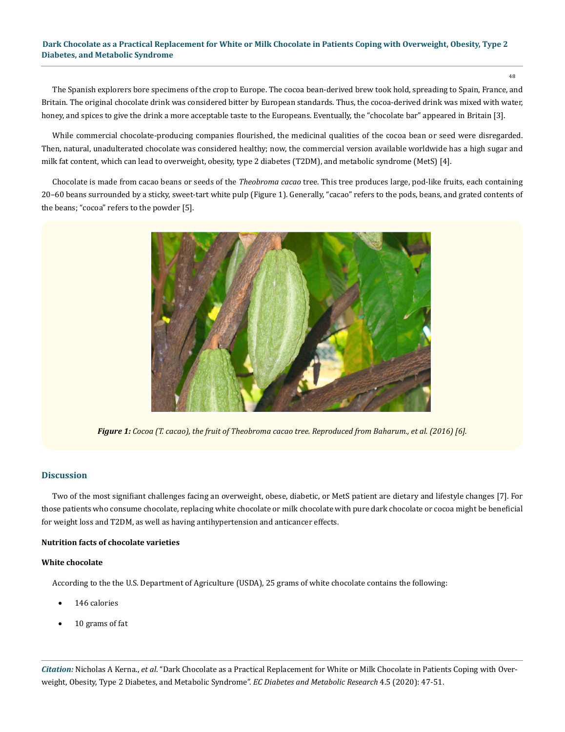# **Dark Chocolate as a Practical Replacement for White or Milk Chocolate in Patients Coping with Overweight, Obesity, Type 2 Diabetes, and Metabolic Syndrome**

48

The Spanish explorers bore specimens of the crop to Europe. The cocoa bean-derived brew took hold, spreading to Spain, France, and Britain. The original chocolate drink was considered bitter by European standards. Thus, the cocoa-derived drink was mixed with water, honey, and spices to give the drink a more acceptable taste to the Europeans. Eventually, the "chocolate bar" appeared in Britain [3].

While commercial chocolate-producing companies flourished, the medicinal qualities of the cocoa bean or seed were disregarded. Then, natural, unadulterated chocolate was considered healthy; now, the commercial version available worldwide has a high sugar and milk fat content, which can lead to overweight, obesity, type 2 diabetes (T2DM), and metabolic syndrome (MetS) [4].

Chocolate is made from cacao beans or seeds of the *Theobroma cacao* tree. This tree produces large, pod-like fruits, each containing 20–60 beans surrounded by a sticky, sweet-tart white pulp (Figure 1). Generally, "cacao" refers to the pods, beans, and grated contents of the beans; "cocoa" refers to the powder [5].



*Figure 1: Cocoa (T. cacao), the fruit of Theobroma cacao tree. Reproduced from Baharum., et al. (2016) [6].*

# **Discussion**

Two of the most signifiant challenges facing an overweight, obese, diabetic, or MetS patient are dietary and lifestyle changes [7]. For those patients who consume chocolate, replacing white chocolate or milk chocolate with pure dark chocolate or cocoa might be beneficial for weight loss and T2DM, as well as having antihypertension and anticancer effects.

# **Nutrition facts of chocolate varieties**

# **White chocolate**

According to the the U.S. Department of Agriculture (USDA), 25 grams of white chocolate contains the following:

- 146 calories
- 10 grams of fat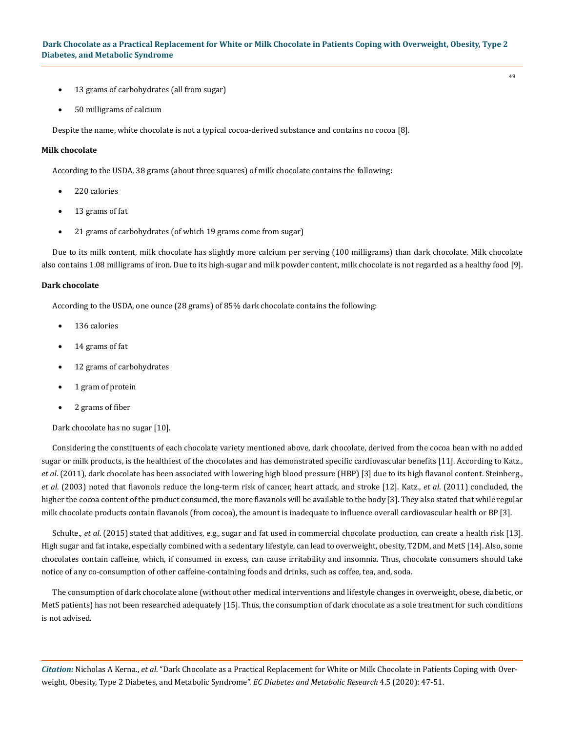- 13 grams of carbohydrates (all from sugar)
- 50 milligrams of calcium

Despite the name, white chocolate is not a typical cocoa-derived substance and contains no cocoa [8].

#### **Milk chocolate**

According to the USDA, 38 grams (about three squares) of milk chocolate contains the following:

- 220 calories
- 13 grams of fat
- 21 grams of carbohydrates (of which 19 grams come from sugar)

Due to its milk content, milk chocolate has slightly more calcium per serving (100 milligrams) than dark chocolate. Milk chocolate also contains 1.08 milligrams of iron. Due to its high-sugar and milk powder content, milk chocolate is not regarded as a healthy food [9].

## **Dark chocolate**

According to the USDA, one ounce (28 grams) of 85% dark chocolate contains the following:

- 136 calories
- 14 grams of fat
- 12 grams of carbohydrates
- 1 gram of protein
- 2 grams of fiber

### Dark chocolate has no sugar [10].

Considering the constituents of each chocolate variety mentioned above, dark chocolate, derived from the cocoa bean with no added sugar or milk products, is the healthiest of the chocolates and has demonstrated specific cardiovascular benefits [11]. According to Katz., *et al*. (2011), dark chocolate has been associated with lowering high blood pressure (HBP) [3] due to its high flavanol content. Steinberg., *et al*. (2003) noted that flavonols reduce the long-term risk of cancer, heart attack, and stroke [12]. Katz., *et al*. (2011) concluded, the higher the cocoa content of the product consumed, the more flavanols will be available to the body [3]. They also stated that while regular milk chocolate products contain flavanols (from cocoa), the amount is inadequate to influence overall cardiovascular health or BP [3].

Schulte., *et al*. (2015) stated that additives, e.g., sugar and fat used in commercial chocolate production, can create a health risk [13]. High sugar and fat intake, especially combined with a sedentary lifestyle, can lead to overweight, obesity, T2DM, and MetS [14]. Also, some chocolates contain caffeine, which, if consumed in excess, can cause irritability and insomnia. Thus, chocolate consumers should take notice of any co-consumption of other caffeine-containing foods and drinks, such as coffee, tea, and, soda.

The consumption of dark chocolate alone (without other medical interventions and lifestyle changes in overweight, obese, diabetic, or MetS patients) has not been researched adequately [15]. Thus, the consumption of dark chocolate as a sole treatment for such conditions is not advised.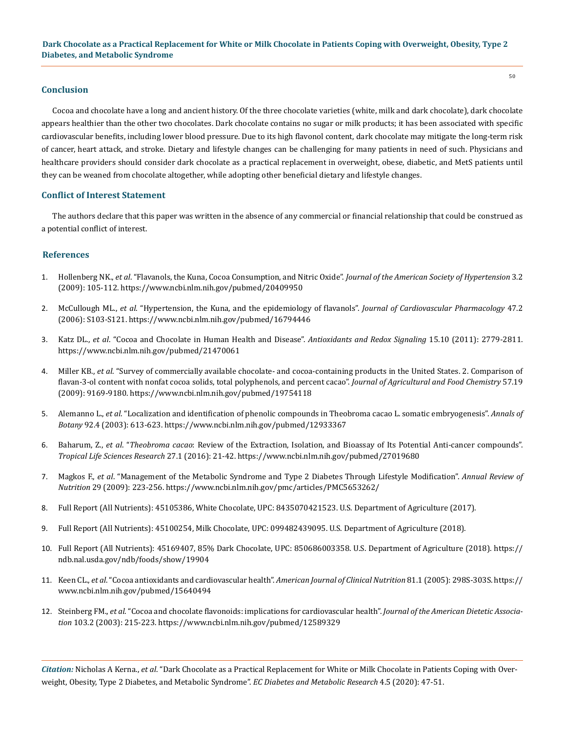# **Conclusion**

Cocoa and chocolate have a long and ancient history. Of the three chocolate varieties (white, milk and dark chocolate), dark chocolate appears healthier than the other two chocolates. Dark chocolate contains no sugar or milk products; it has been associated with specific cardiovascular benefits, including lower blood pressure. Due to its high flavonol content, dark chocolate may mitigate the long-term risk of cancer, heart attack, and stroke. Dietary and lifestyle changes can be challenging for many patients in need of such. Physicians and healthcare providers should consider dark chocolate as a practical replacement in overweight, obese, diabetic, and MetS patients until they can be weaned from chocolate altogether, while adopting other beneficial dietary and lifestyle changes.

# **Conflict of Interest Statement**

The authors declare that this paper was written in the absence of any commercial or financial relationship that could be construed as a potential conflict of interest.

# **References**

- 1. Hollenberg NK., *et al*[. "Flavanols, the Kuna, Cocoa Consumption, and Nitric Oxide".](file:///F:/ECronicon/ECEC/ECCY-20-MRW-172/Hollenberg NK., et al. \“Flavanols, the Kuna, Cocoa Consumption, and Nitric Oxide\”. Journal of the American Society of Hypertension 3.2 (2009): 105-112.) *Journal of the American Society of Hypertension* 3.2 [\(2009\): 105-112.](file:///F:/ECronicon/ECEC/ECCY-20-MRW-172/Hollenberg NK., et al. \“Flavanols, the Kuna, Cocoa Consumption, and Nitric Oxide\”. Journal of the American Society of Hypertension 3.2 (2009): 105-112.) https://www.ncbi.nlm.nih.gov/pubmed/20409950
- 2. McCullough ML., *et al*[. "Hypertension, the Kuna, and the epidemiology of flavanols".](https://www.ncbi.nlm.nih.gov/pubmed/16794446) *Journal of Cardiovascular Pharmacology* 47.2 [\(2006\): S103-S121.](https://www.ncbi.nlm.nih.gov/pubmed/16794446) https://www.ncbi.nlm.nih.gov/pubmed/16794446
- 3. Katz DL., *et al*[. "Cocoa and Chocolate in Human Health and Disease".](https://www.ncbi.nlm.nih.gov/pubmed/21470061) *Antioxidants and Redox Signaling* 15.10 (2011): 2779-2811. https://www.ncbi.nlm.nih.gov/pubmed/21470061
- 4. Miller KB., *et al*[. "Survey of commercially available chocolate- and cocoa-containing products in the United States. 2. Comparison of](https://www.ncbi.nlm.nih.gov/pubmed/19754118)  [flavan-3-ol content with nonfat cocoa solids, total polyphenols, and percent cacao".](https://www.ncbi.nlm.nih.gov/pubmed/19754118) *Journal of Agricultural and Food Chemistry* 57.19 [\(2009\): 9169-9180.](https://www.ncbi.nlm.nih.gov/pubmed/19754118) https://www.ncbi.nlm.nih.gov/pubmed/19754118
- 5. Alemanno L., *et al*[. "Localization and identification of phenolic compounds in Theobroma cacao L. somatic embryogenesis".](https://www.ncbi.nlm.nih.gov/pubmed/12933367) *Annals of Botany* [92.4 \(2003\): 613-623.](https://www.ncbi.nlm.nih.gov/pubmed/12933367) https://www.ncbi.nlm.nih.gov/pubmed/12933367
- 6. Baharum, Z., *et al*. "*Theobroma cacao*[: Review of the Extraction, Isolation, and Bioassay of Its Potential Anti-cancer compounds".](https://www.ncbi.nlm.nih.gov/pubmed/27019680) *[Tropical Life Sciences Research](https://www.ncbi.nlm.nih.gov/pubmed/27019680)* 27.1 (2016): 21-42. https://www.ncbi.nlm.nih.gov/pubmed/27019680
- 7. Magkos F., *et al*[. "Management of the Metabolic Syndrome and Type 2 Diabetes Through Lifestyle Modification".](https://www.ncbi.nlm.nih.gov/pmc/articles/PMC5653262/) *Annual Review of Nutrition* [29 \(2009\): 223-256.](https://www.ncbi.nlm.nih.gov/pmc/articles/PMC5653262/) https://www.ncbi.nlm.nih.gov/pmc/articles/PMC5653262/
- 8. Full Report (All Nutrients): 45105386, White Chocolate, UPC: 8435070421523. U.S. Department of Agriculture (2017).
- 9. Full Report (All Nutrients): 45100254, Milk Chocolate, UPC: 099482439095. U.S. Department of Agriculture (2018).
- 10. [Full Report \(All Nutrients\): 45169407, 85% Dark Chocolate, UPC: 850686003358. U.S. Department of Agriculture \(2018\).](https://ndb.nal.usda.gov/ndb/foods/show/19904) https:// ndb.nal.usda.gov/ndb/foods/show/19904
- 11. Keen CL., *et al*[. "Cocoa antioxidants and cardiovascular health".](https://www.ncbi.nlm.nih.gov/pubmed/15640494) *American Journal of Clinical Nutrition* 81.1 (2005): 298S-303S. https:// www.ncbi.nlm.nih.gov/pubmed/15640494
- 12. Steinberg FM., *et al*[. "Cocoa and chocolate flavonoids: implications for cardiovascular health".](https://www.ncbi.nlm.nih.gov/pubmed/12589329) *Journal of the American Dietetic Association* [103.2 \(2003\): 215-223.](https://www.ncbi.nlm.nih.gov/pubmed/12589329) https://www.ncbi.nlm.nih.gov/pubmed/12589329

*Citation:* Nicholas A Kerna., *et al*. "Dark Chocolate as a Practical Replacement for White or Milk Chocolate in Patients Coping with Overweight, Obesity, Type 2 Diabetes, and Metabolic Syndrome". *EC Diabetes and Metabolic Research* 4.5 (2020): 47-51.

50